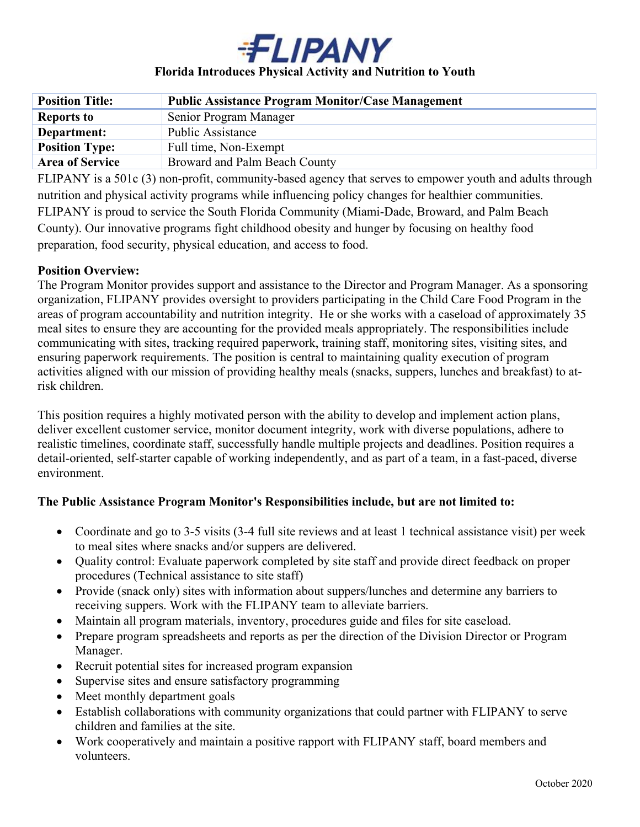

# **Florida Introduces Physical Activity and Nutrition to Youth**

| <b>Position Title:</b> | <b>Public Assistance Program Monitor/Case Management</b> |
|------------------------|----------------------------------------------------------|
| <b>Reports to</b>      | Senior Program Manager                                   |
| Department:            | Public Assistance                                        |
| <b>Position Type:</b>  | Full time, Non-Exempt                                    |
| <b>Area of Service</b> | Broward and Palm Beach County                            |

FLIPANY is a 501c (3) non-profit, community-based agency that serves to empower youth and adults through nutrition and physical activity programs while influencing policy changes for healthier communities. FLIPANY is proud to service the South Florida Community (Miami-Dade, Broward, and Palm Beach County). Our innovative programs fight childhood obesity and hunger by focusing on healthy food preparation, food security, physical education, and access to food.

#### **Position Overview:**

The Program Monitor provides support and assistance to the Director and Program Manager. As a sponsoring organization, FLIPANY provides oversight to providers participating in the Child Care Food Program in the areas of program accountability and nutrition integrity. He or she works with a caseload of approximately 35 meal sites to ensure they are accounting for the provided meals appropriately. The responsibilities include communicating with sites, tracking required paperwork, training staff, monitoring sites, visiting sites, and ensuring paperwork requirements. The position is central to maintaining quality execution of program activities aligned with our mission of providing healthy meals (snacks, suppers, lunches and breakfast) to atrisk children.

This position requires a highly motivated person with the ability to develop and implement action plans, deliver excellent customer service, monitor document integrity, work with diverse populations, adhere to realistic timelines, coordinate staff, successfully handle multiple projects and deadlines. Position requires a detail-oriented, self-starter capable of working independently, and as part of a team, in a fast-paced, diverse environment.

# **The Public Assistance Program Monitor's Responsibilities include, but are not limited to:**

- Coordinate and go to 3-5 visits (3-4 full site reviews and at least 1 technical assistance visit) per week to meal sites where snacks and/or suppers are delivered.
- Quality control: Evaluate paperwork completed by site staff and provide direct feedback on proper procedures (Technical assistance to site staff)
- Provide (snack only) sites with information about suppers/lunches and determine any barriers to receiving suppers. Work with the FLIPANY team to alleviate barriers.
- Maintain all program materials, inventory, procedures guide and files for site caseload.
- Prepare program spreadsheets and reports as per the direction of the Division Director or Program Manager.
- Recruit potential sites for increased program expansion
- Supervise sites and ensure satisfactory programming
- Meet monthly department goals
- Establish collaborations with community organizations that could partner with FLIPANY to serve children and families at the site.
- Work cooperatively and maintain a positive rapport with FLIPANY staff, board members and volunteers.